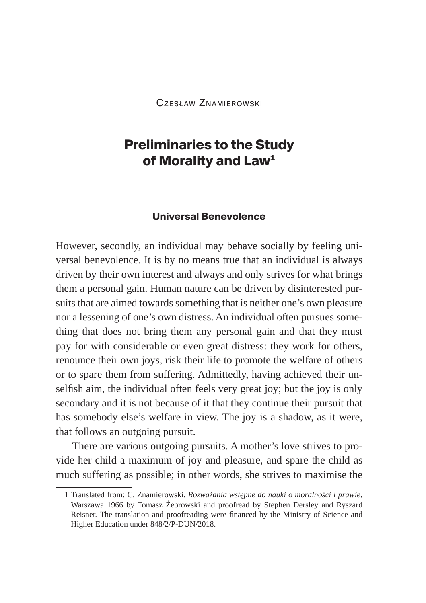Czesław Znamierowski

# **Preliminaries to the Study of Morality and Law1**

#### **Universal Benevolence**

However, secondly, an individual may behave socially by feeling universal benevolence. It is by no means true that an individual is always driven by their own interest and always and only strives for what brings them a personal gain. Human nature can be driven by disinterested pursuits that are aimed towards something that is neither one's own pleasure nor a lessening of one's own distress. An individual often pursues something that does not bring them any personal gain and that they must pay for with considerable or even great distress: they work for others, renounce their own joys, risk their life to promote the welfare of others or to spare them from suffering. Admittedly, having achieved their unselfish aim, the individual often feels very great joy; but the joy is only secondary and it is not because of it that they continue their pursuit that has somebody else's welfare in view. The joy is a shadow, as it were, that follows an outgoing pursuit.

There are various outgoing pursuits. A mother's love strives to provide her child a maximum of joy and pleasure, and spare the child as much suffering as possible; in other words, she strives to maximise the

<sup>1</sup> Translated from: C. Znamierowski, *Rozważania wstępne do nauki o moralności i prawie*, Warszawa 1966 by Tomasz Żebrowski and proofread by Stephen Dersley and Ryszard Reisner. The translation and proofreading were financed by the Ministry of Science and Higher Education under 848/2/P-DUN/2018.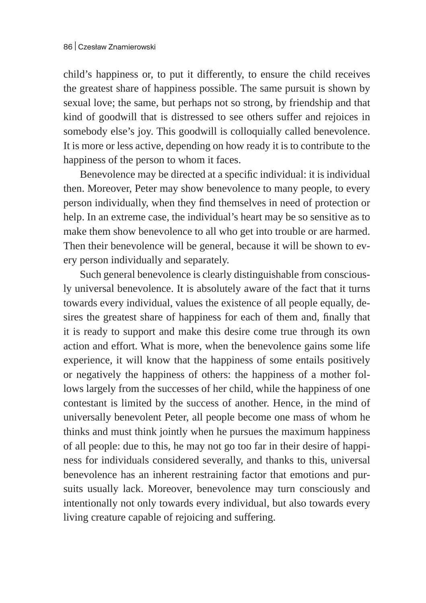child's happiness or, to put it differently, to ensure the child receives the greatest share of happiness possible. The same pursuit is shown by sexual love; the same, but perhaps not so strong, by friendship and that kind of goodwill that is distressed to see others suffer and rejoices in somebody else's joy. This goodwill is colloquially called benevolence. It is more or less active, depending on how ready it is to contribute to the happiness of the person to whom it faces.

Benevolence may be directed at a specific individual: it is individual then. Moreover, Peter may show benevolence to many people, to every person individually, when they find themselves in need of protection or help. In an extreme case, the individual's heart may be so sensitive as to make them show benevolence to all who get into trouble or are harmed. Then their benevolence will be general, because it will be shown to every person individually and separately.

Such general benevolence is clearly distinguishable from consciously universal benevolence. It is absolutely aware of the fact that it turns towards every individual, values the existence of all people equally, desires the greatest share of happiness for each of them and, finally that it is ready to support and make this desire come true through its own action and effort. What is more, when the benevolence gains some life experience, it will know that the happiness of some entails positively or negatively the happiness of others: the happiness of a mother follows largely from the successes of her child, while the happiness of one contestant is limited by the success of another. Hence, in the mind of universally benevolent Peter, all people become one mass of whom he thinks and must think jointly when he pursues the maximum happiness of all people: due to this, he may not go too far in their desire of happiness for individuals considered severally, and thanks to this, universal benevolence has an inherent restraining factor that emotions and pursuits usually lack. Moreover, benevolence may turn consciously and intentionally not only towards every individual, but also towards every living creature capable of rejoicing and suffering.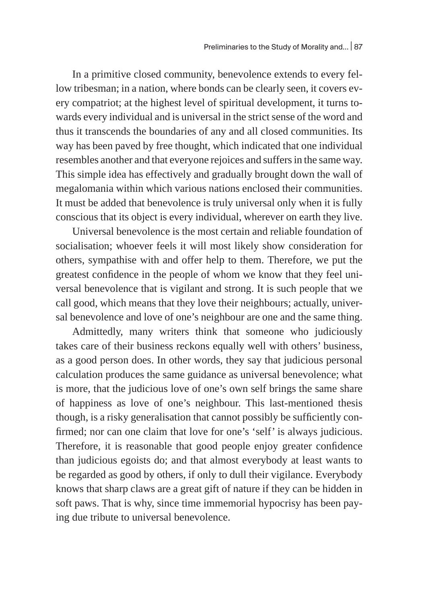In a primitive closed community, benevolence extends to every fellow tribesman; in a nation, where bonds can be clearly seen, it covers every compatriot; at the highest level of spiritual development, it turns towards every individual and is universal in the strict sense of the word and thus it transcends the boundaries of any and all closed communities. Its way has been paved by free thought, which indicated that one individual resembles another and that everyone rejoices and suffers in the same way. This simple idea has effectively and gradually brought down the wall of megalomania within which various nations enclosed their communities. It must be added that benevolence is truly universal only when it is fully conscious that its object is every individual, wherever on earth they live.

Universal benevolence is the most certain and reliable foundation of socialisation; whoever feels it will most likely show consideration for others, sympathise with and offer help to them. Therefore, we put the greatest confidence in the people of whom we know that they feel universal benevolence that is vigilant and strong. It is such people that we call good, which means that they love their neighbours; actually, universal benevolence and love of one's neighbour are one and the same thing.

Admittedly, many writers think that someone who judiciously takes care of their business reckons equally well with others' business, as a good person does. In other words, they say that judicious personal calculation produces the same guidance as universal benevolence; what is more, that the judicious love of one's own self brings the same share of happiness as love of one's neighbour. This last-mentioned thesis though, is a risky generalisation that cannot possibly be sufficiently confirmed; nor can one claim that love for one's 'self' is always judicious. Therefore, it is reasonable that good people enjoy greater confidence than judicious egoists do; and that almost everybody at least wants to be regarded as good by others, if only to dull their vigilance. Everybody knows that sharp claws are a great gift of nature if they can be hidden in soft paws. That is why, since time immemorial hypocrisy has been paying due tribute to universal benevolence.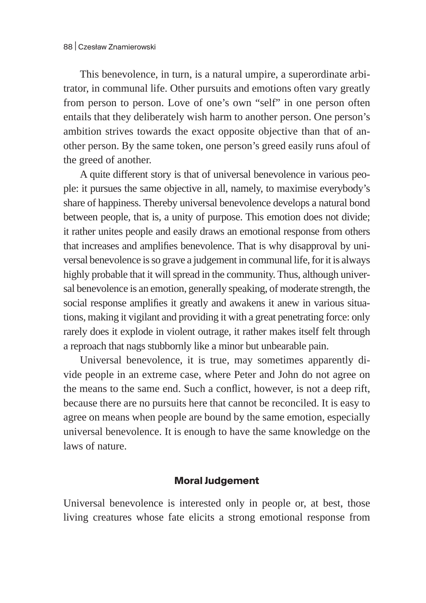This benevolence, in turn, is a natural umpire, a superordinate arbitrator, in communal life. Other pursuits and emotions often vary greatly from person to person. Love of one's own "self" in one person often entails that they deliberately wish harm to another person. One person's ambition strives towards the exact opposite objective than that of another person. By the same token, one person's greed easily runs afoul of the greed of another.

A quite different story is that of universal benevolence in various people: it pursues the same objective in all, namely, to maximise everybody's share of happiness. Thereby universal benevolence develops a natural bond between people, that is, a unity of purpose. This emotion does not divide; it rather unites people and easily draws an emotional response from others that increases and amplifies benevolence. That is why disapproval by universal benevolence is so grave a judgement in communal life, for it is always highly probable that it will spread in the community. Thus, although universal benevolence is an emotion, generally speaking, of moderate strength, the social response amplifies it greatly and awakens it anew in various situations, making it vigilant and providing it with a great penetrating force: only rarely does it explode in violent outrage, it rather makes itself felt through a reproach that nags stubbornly like a minor but unbearable pain.

Universal benevolence, it is true, may sometimes apparently divide people in an extreme case, where Peter and John do not agree on the means to the same end. Such a conflict, however, is not a deep rift, because there are no pursuits here that cannot be reconciled. It is easy to agree on means when people are bound by the same emotion, especially universal benevolence. It is enough to have the same knowledge on the laws of nature.

## **Moral Judgement**

Universal benevolence is interested only in people or, at best, those living creatures whose fate elicits a strong emotional response from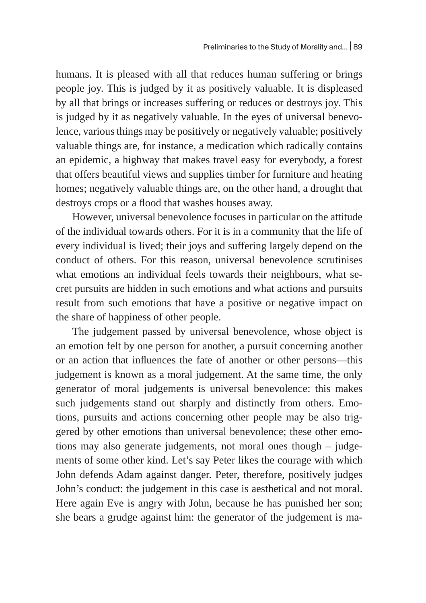humans. It is pleased with all that reduces human suffering or brings people joy. This is judged by it as positively valuable. It is displeased by all that brings or increases suffering or reduces or destroys joy. This is judged by it as negatively valuable. In the eyes of universal benevolence, various things may be positively or negatively valuable; positively valuable things are, for instance, a medication which radically contains an epidemic, a highway that makes travel easy for everybody, a forest that offers beautiful views and supplies timber for furniture and heating homes; negatively valuable things are, on the other hand, a drought that destroys crops or a flood that washes houses away.

However, universal benevolence focuses in particular on the attitude of the individual towards others. For it is in a community that the life of every individual is lived; their joys and suffering largely depend on the conduct of others. For this reason, universal benevolence scrutinises what emotions an individual feels towards their neighbours, what secret pursuits are hidden in such emotions and what actions and pursuits result from such emotions that have a positive or negative impact on the share of happiness of other people.

The judgement passed by universal benevolence, whose object is an emotion felt by one person for another, a pursuit concerning another or an action that influences the fate of another or other persons—this judgement is known as a moral judgement. At the same time, the only generator of moral judgements is universal benevolence: this makes such judgements stand out sharply and distinctly from others. Emotions, pursuits and actions concerning other people may be also triggered by other emotions than universal benevolence; these other emotions may also generate judgements, not moral ones though – judgements of some other kind. Let's say Peter likes the courage with which John defends Adam against danger. Peter, therefore, positively judges John's conduct: the judgement in this case is aesthetical and not moral. Here again Eve is angry with John, because he has punished her son; she bears a grudge against him: the generator of the judgement is ma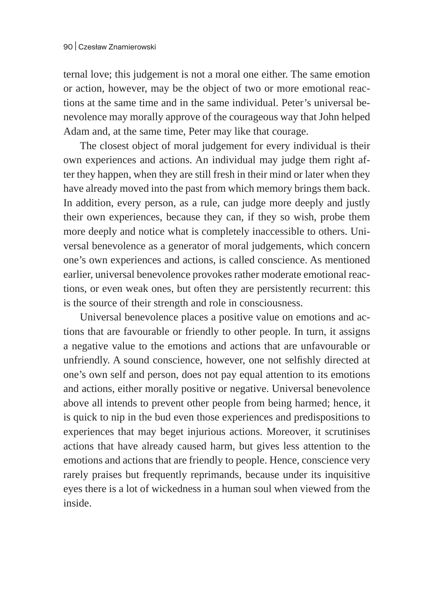ternal love; this judgement is not a moral one either. The same emotion or action, however, may be the object of two or more emotional reactions at the same time and in the same individual. Peter's universal benevolence may morally approve of the courageous way that John helped Adam and, at the same time, Peter may like that courage.

The closest object of moral judgement for every individual is their own experiences and actions. An individual may judge them right after they happen, when they are still fresh in their mind or later when they have already moved into the past from which memory brings them back. In addition, every person, as a rule, can judge more deeply and justly their own experiences, because they can, if they so wish, probe them more deeply and notice what is completely inaccessible to others. Universal benevolence as a generator of moral judgements, which concern one's own experiences and actions, is called conscience. As mentioned earlier, universal benevolence provokes rather moderate emotional reactions, or even weak ones, but often they are persistently recurrent: this is the source of their strength and role in consciousness.

Universal benevolence places a positive value on emotions and actions that are favourable or friendly to other people. In turn, it assigns a negative value to the emotions and actions that are unfavourable or unfriendly. A sound conscience, however, one not selfishly directed at one's own self and person, does not pay equal attention to its emotions and actions, either morally positive or negative. Universal benevolence above all intends to prevent other people from being harmed; hence, it is quick to nip in the bud even those experiences and predispositions to experiences that may beget injurious actions. Moreover, it scrutinises actions that have already caused harm, but gives less attention to the emotions and actions that are friendly to people. Hence, conscience very rarely praises but frequently reprimands, because under its inquisitive eyes there is a lot of wickedness in a human soul when viewed from the inside.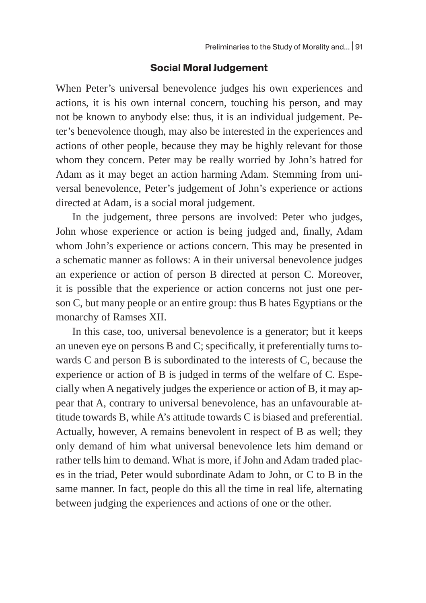#### **Social Moral Judgement**

When Peter's universal benevolence judges his own experiences and actions, it is his own internal concern, touching his person, and may not be known to anybody else: thus, it is an individual judgement. Peter's benevolence though, may also be interested in the experiences and actions of other people, because they may be highly relevant for those whom they concern. Peter may be really worried by John's hatred for Adam as it may beget an action harming Adam. Stemming from universal benevolence, Peter's judgement of John's experience or actions directed at Adam, is a social moral judgement.

In the judgement, three persons are involved: Peter who judges, John whose experience or action is being judged and, finally, Adam whom John's experience or actions concern. This may be presented in a schematic manner as follows: A in their universal benevolence judges an experience or action of person B directed at person C. Moreover, it is possible that the experience or action concerns not just one person C, but many people or an entire group: thus B hates Egyptians or the monarchy of Ramses XII.

In this case, too, universal benevolence is a generator; but it keeps an uneven eye on persons B and C; specifically, it preferentially turns towards C and person B is subordinated to the interests of C, because the experience or action of B is judged in terms of the welfare of C. Especially when A negatively judges the experience or action of B, it may appear that A, contrary to universal benevolence, has an unfavourable attitude towards B, while A's attitude towards C is biased and preferential. Actually, however, A remains benevolent in respect of B as well; they only demand of him what universal benevolence lets him demand or rather tells him to demand. What is more, if John and Adam traded places in the triad, Peter would subordinate Adam to John, or C to B in the same manner. In fact, people do this all the time in real life, alternating between judging the experiences and actions of one or the other.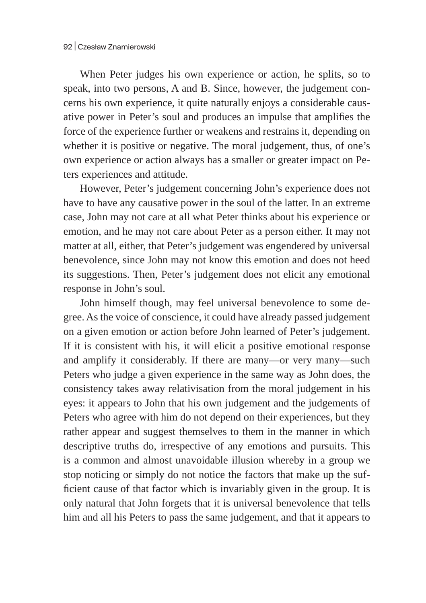When Peter judges his own experience or action, he splits, so to speak, into two persons, A and B. Since, however, the judgement concerns his own experience, it quite naturally enjoys a considerable causative power in Peter's soul and produces an impulse that amplifies the force of the experience further or weakens and restrains it, depending on whether it is positive or negative. The moral judgement, thus, of one's own experience or action always has a smaller or greater impact on Peters experiences and attitude.

However, Peter's judgement concerning John's experience does not have to have any causative power in the soul of the latter. In an extreme case, John may not care at all what Peter thinks about his experience or emotion, and he may not care about Peter as a person either. It may not matter at all, either, that Peter's judgement was engendered by universal benevolence, since John may not know this emotion and does not heed its suggestions. Then, Peter's judgement does not elicit any emotional response in John's soul.

John himself though, may feel universal benevolence to some degree. As the voice of conscience, it could have already passed judgement on a given emotion or action before John learned of Peter's judgement. If it is consistent with his, it will elicit a positive emotional response and amplify it considerably. If there are many—or very many—such Peters who judge a given experience in the same way as John does, the consistency takes away relativisation from the moral judgement in his eyes: it appears to John that his own judgement and the judgements of Peters who agree with him do not depend on their experiences, but they rather appear and suggest themselves to them in the manner in which descriptive truths do, irrespective of any emotions and pursuits. This is a common and almost unavoidable illusion whereby in a group we stop noticing or simply do not notice the factors that make up the sufficient cause of that factor which is invariably given in the group. It is only natural that John forgets that it is universal benevolence that tells him and all his Peters to pass the same judgement, and that it appears to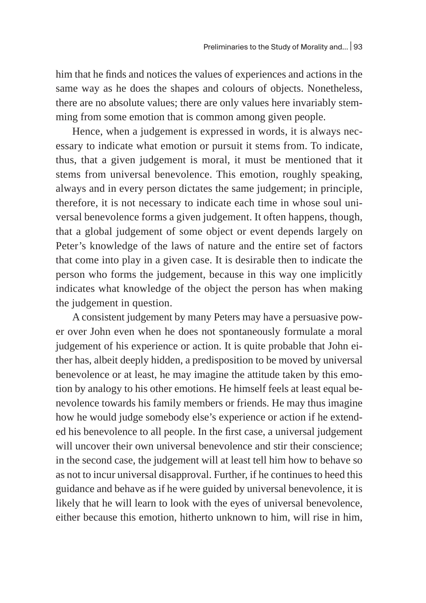him that he finds and notices the values of experiences and actions in the same way as he does the shapes and colours of objects. Nonetheless, there are no absolute values; there are only values here invariably stemming from some emotion that is common among given people.

Hence, when a judgement is expressed in words, it is always necessary to indicate what emotion or pursuit it stems from. To indicate, thus, that a given judgement is moral, it must be mentioned that it stems from universal benevolence. This emotion, roughly speaking, always and in every person dictates the same judgement; in principle, therefore, it is not necessary to indicate each time in whose soul universal benevolence forms a given judgement. It often happens, though, that a global judgement of some object or event depends largely on Peter's knowledge of the laws of nature and the entire set of factors that come into play in a given case. It is desirable then to indicate the person who forms the judgement, because in this way one implicitly indicates what knowledge of the object the person has when making the judgement in question.

A consistent judgement by many Peters may have a persuasive power over John even when he does not spontaneously formulate a moral judgement of his experience or action. It is quite probable that John either has, albeit deeply hidden, a predisposition to be moved by universal benevolence or at least, he may imagine the attitude taken by this emotion by analogy to his other emotions. He himself feels at least equal benevolence towards his family members or friends. He may thus imagine how he would judge somebody else's experience or action if he extended his benevolence to all people. In the first case, a universal judgement will uncover their own universal benevolence and stir their conscience; in the second case, the judgement will at least tell him how to behave so as not to incur universal disapproval. Further, if he continues to heed this guidance and behave as if he were guided by universal benevolence, it is likely that he will learn to look with the eyes of universal benevolence, either because this emotion, hitherto unknown to him, will rise in him,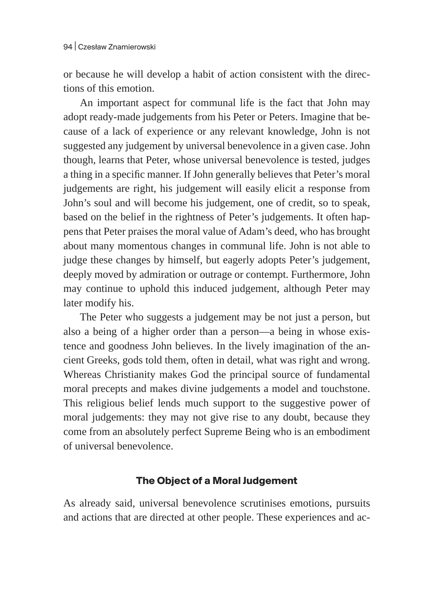or because he will develop a habit of action consistent with the directions of this emotion.

An important aspect for communal life is the fact that John may adopt ready-made judgements from his Peter or Peters. Imagine that because of a lack of experience or any relevant knowledge, John is not suggested any judgement by universal benevolence in a given case. John though, learns that Peter, whose universal benevolence is tested, judges a thing in a specific manner. If John generally believes that Peter's moral judgements are right, his judgement will easily elicit a response from John's soul and will become his judgement, one of credit, so to speak, based on the belief in the rightness of Peter's judgements. It often happens that Peter praises the moral value of Adam's deed, who has brought about many momentous changes in communal life. John is not able to judge these changes by himself, but eagerly adopts Peter's judgement, deeply moved by admiration or outrage or contempt. Furthermore, John may continue to uphold this induced judgement, although Peter may later modify his.

The Peter who suggests a judgement may be not just a person, but also a being of a higher order than a person—a being in whose existence and goodness John believes. In the lively imagination of the ancient Greeks, gods told them, often in detail, what was right and wrong. Whereas Christianity makes God the principal source of fundamental moral precepts and makes divine judgements a model and touchstone. This religious belief lends much support to the suggestive power of moral judgements: they may not give rise to any doubt, because they come from an absolutely perfect Supreme Being who is an embodiment of universal benevolence.

## **The Object of a Moral Judgement**

As already said, universal benevolence scrutinises emotions, pursuits and actions that are directed at other people. These experiences and ac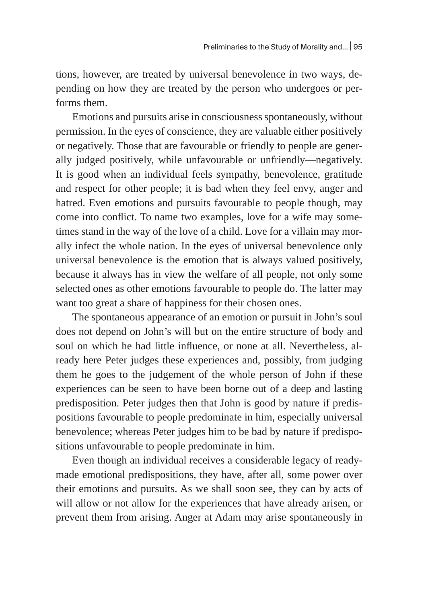tions, however, are treated by universal benevolence in two ways, depending on how they are treated by the person who undergoes or performs them.

Emotions and pursuits arise in consciousness spontaneously, without permission. In the eyes of conscience, they are valuable either positively or negatively. Those that are favourable or friendly to people are generally judged positively, while unfavourable or unfriendly—negatively. It is good when an individual feels sympathy, benevolence, gratitude and respect for other people; it is bad when they feel envy, anger and hatred. Even emotions and pursuits favourable to people though, may come into conflict. To name two examples, love for a wife may sometimes stand in the way of the love of a child. Love for a villain may morally infect the whole nation. In the eyes of universal benevolence only universal benevolence is the emotion that is always valued positively, because it always has in view the welfare of all people, not only some selected ones as other emotions favourable to people do. The latter may want too great a share of happiness for their chosen ones.

The spontaneous appearance of an emotion or pursuit in John's soul does not depend on John's will but on the entire structure of body and soul on which he had little influence, or none at all. Nevertheless, already here Peter judges these experiences and, possibly, from judging them he goes to the judgement of the whole person of John if these experiences can be seen to have been borne out of a deep and lasting predisposition. Peter judges then that John is good by nature if predispositions favourable to people predominate in him, especially universal benevolence; whereas Peter judges him to be bad by nature if predispositions unfavourable to people predominate in him.

Even though an individual receives a considerable legacy of readymade emotional predispositions, they have, after all, some power over their emotions and pursuits. As we shall soon see, they can by acts of will allow or not allow for the experiences that have already arisen, or prevent them from arising. Anger at Adam may arise spontaneously in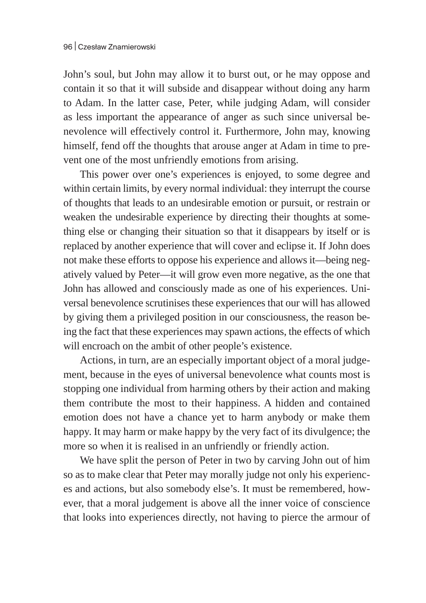John's soul, but John may allow it to burst out, or he may oppose and contain it so that it will subside and disappear without doing any harm to Adam. In the latter case, Peter, while judging Adam, will consider as less important the appearance of anger as such since universal benevolence will effectively control it. Furthermore, John may, knowing himself, fend off the thoughts that arouse anger at Adam in time to prevent one of the most unfriendly emotions from arising.

This power over one's experiences is enjoyed, to some degree and within certain limits, by every normal individual: they interrupt the course of thoughts that leads to an undesirable emotion or pursuit, or restrain or weaken the undesirable experience by directing their thoughts at something else or changing their situation so that it disappears by itself or is replaced by another experience that will cover and eclipse it. If John does not make these efforts to oppose his experience and allows it—being negatively valued by Peter—it will grow even more negative, as the one that John has allowed and consciously made as one of his experiences. Universal benevolence scrutinises these experiences that our will has allowed by giving them a privileged position in our consciousness, the reason being the fact that these experiences may spawn actions, the effects of which will encroach on the ambit of other people's existence.

Actions, in turn, are an especially important object of a moral judgement, because in the eyes of universal benevolence what counts most is stopping one individual from harming others by their action and making them contribute the most to their happiness. A hidden and contained emotion does not have a chance yet to harm anybody or make them happy. It may harm or make happy by the very fact of its divulgence; the more so when it is realised in an unfriendly or friendly action.

We have split the person of Peter in two by carving John out of him so as to make clear that Peter may morally judge not only his experiences and actions, but also somebody else's. It must be remembered, however, that a moral judgement is above all the inner voice of conscience that looks into experiences directly, not having to pierce the armour of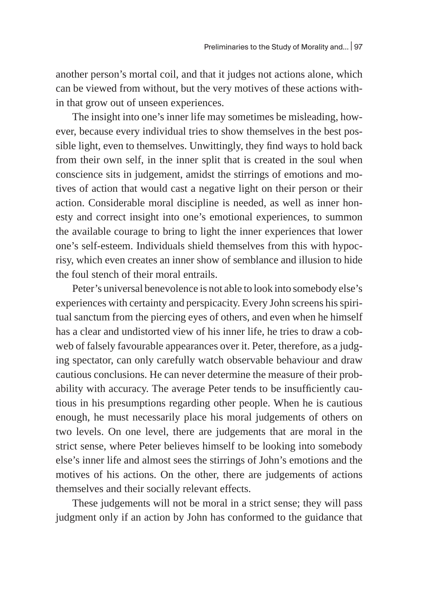another person's mortal coil, and that it judges not actions alone, which can be viewed from without, but the very motives of these actions within that grow out of unseen experiences.

The insight into one's inner life may sometimes be misleading, however, because every individual tries to show themselves in the best possible light, even to themselves. Unwittingly, they find ways to hold back from their own self, in the inner split that is created in the soul when conscience sits in judgement, amidst the stirrings of emotions and motives of action that would cast a negative light on their person or their action. Considerable moral discipline is needed, as well as inner honesty and correct insight into one's emotional experiences, to summon the available courage to bring to light the inner experiences that lower one's self-esteem. Individuals shield themselves from this with hypocrisy, which even creates an inner show of semblance and illusion to hide the foul stench of their moral entrails.

Peter's universal benevolence is not able to look into somebody else's experiences with certainty and perspicacity. Every John screens his spiritual sanctum from the piercing eyes of others, and even when he himself has a clear and undistorted view of his inner life, he tries to draw a cobweb of falsely favourable appearances over it. Peter, therefore, as a judging spectator, can only carefully watch observable behaviour and draw cautious conclusions. He can never determine the measure of their probability with accuracy. The average Peter tends to be insufficiently cautious in his presumptions regarding other people. When he is cautious enough, he must necessarily place his moral judgements of others on two levels. On one level, there are judgements that are moral in the strict sense, where Peter believes himself to be looking into somebody else's inner life and almost sees the stirrings of John's emotions and the motives of his actions. On the other, there are judgements of actions themselves and their socially relevant effects.

These judgements will not be moral in a strict sense; they will pass judgment only if an action by John has conformed to the guidance that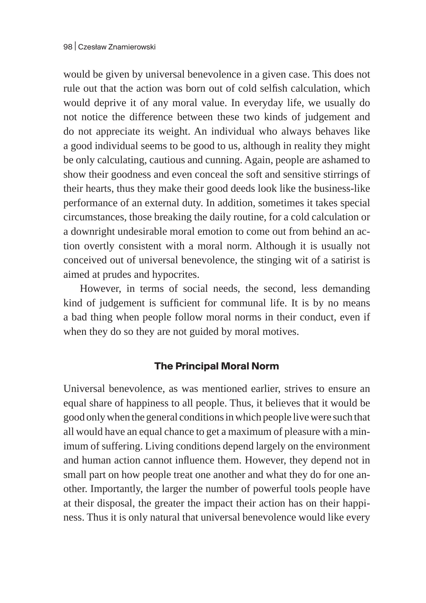would be given by universal benevolence in a given case. This does not rule out that the action was born out of cold selfish calculation, which would deprive it of any moral value. In everyday life, we usually do not notice the difference between these two kinds of judgement and do not appreciate its weight. An individual who always behaves like a good individual seems to be good to us, although in reality they might be only calculating, cautious and cunning. Again, people are ashamed to show their goodness and even conceal the soft and sensitive stirrings of their hearts, thus they make their good deeds look like the business-like performance of an external duty. In addition, sometimes it takes special circumstances, those breaking the daily routine, for a cold calculation or a downright undesirable moral emotion to come out from behind an action overtly consistent with a moral norm. Although it is usually not conceived out of universal benevolence, the stinging wit of a satirist is aimed at prudes and hypocrites.

However, in terms of social needs, the second, less demanding kind of judgement is sufficient for communal life. It is by no means a bad thing when people follow moral norms in their conduct, even if when they do so they are not guided by moral motives.

## **The Principal Moral Norm**

Universal benevolence, as was mentioned earlier, strives to ensure an equal share of happiness to all people. Thus, it believes that it would be good only when the general conditions in which people livewere such that all would have an equal chance to get a maximum of pleasure with a minimum of suffering. Living conditions depend largely on the environment and human action cannot influence them. However, they depend not in small part on how people treat one another and what they do for one another. Importantly, the larger the number of powerful tools people have at their disposal, the greater the impact their action has on their happiness. Thus it is only natural that universal benevolence would like every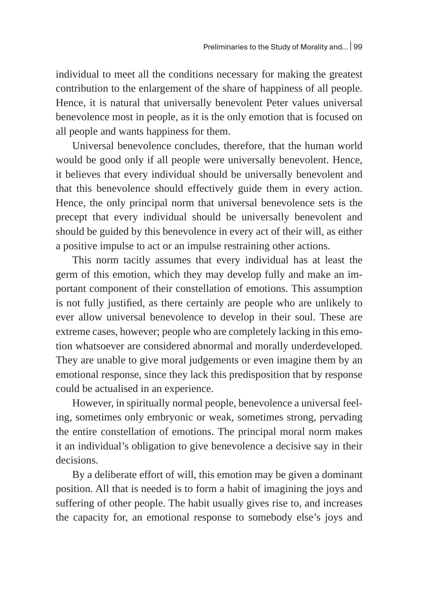individual to meet all the conditions necessary for making the greatest contribution to the enlargement of the share of happiness of all people. Hence, it is natural that universally benevolent Peter values universal benevolence most in people, as it is the only emotion that is focused on all people and wants happiness for them.

Universal benevolence concludes, therefore, that the human world would be good only if all people were universally benevolent. Hence, it believes that every individual should be universally benevolent and that this benevolence should effectively guide them in every action. Hence, the only principal norm that universal benevolence sets is the precept that every individual should be universally benevolent and should be guided by this benevolence in every act of their will, as either a positive impulse to act or an impulse restraining other actions.

This norm tacitly assumes that every individual has at least the germ of this emotion, which they may develop fully and make an important component of their constellation of emotions. This assumption is not fully justified, as there certainly are people who are unlikely to ever allow universal benevolence to develop in their soul. These are extreme cases, however; people who are completely lacking in this emotion whatsoever are considered abnormal and morally underdeveloped. They are unable to give moral judgements or even imagine them by an emotional response, since they lack this predisposition that by response could be actualised in an experience.

However, in spiritually normal people, benevolence a universal feeling, sometimes only embryonic or weak, sometimes strong, pervading the entire constellation of emotions. The principal moral norm makes it an individual's obligation to give benevolence a decisive say in their decisions.

By a deliberate effort of will, this emotion may be given a dominant position. All that is needed is to form a habit of imagining the joys and suffering of other people. The habit usually gives rise to, and increases the capacity for, an emotional response to somebody else's joys and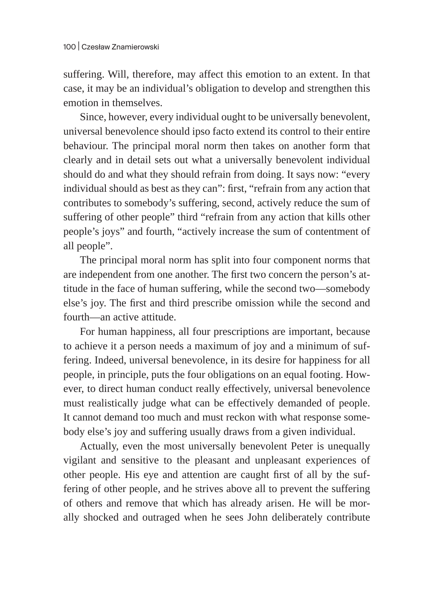suffering. Will, therefore, may affect this emotion to an extent. In that case, it may be an individual's obligation to develop and strengthen this emotion in themselves.

Since, however, every individual ought to be universally benevolent, universal benevolence should ipso facto extend its control to their entire behaviour. The principal moral norm then takes on another form that clearly and in detail sets out what a universally benevolent individual should do and what they should refrain from doing. It says now: "every individual should as best as they can": first, "refrain from any action that contributes to somebody's suffering, second, actively reduce the sum of suffering of other people" third "refrain from any action that kills other people's joys" and fourth, "actively increase the sum of contentment of all people".

The principal moral norm has split into four component norms that are independent from one another. The first two concern the person's attitude in the face of human suffering, while the second two—somebody else's joy. The first and third prescribe omission while the second and fourth—an active attitude.

For human happiness, all four prescriptions are important, because to achieve it a person needs a maximum of joy and a minimum of suffering. Indeed, universal benevolence, in its desire for happiness for all people, in principle, puts the four obligations on an equal footing. However, to direct human conduct really effectively, universal benevolence must realistically judge what can be effectively demanded of people. It cannot demand too much and must reckon with what response somebody else's joy and suffering usually draws from a given individual.

Actually, even the most universally benevolent Peter is unequally vigilant and sensitive to the pleasant and unpleasant experiences of other people. His eye and attention are caught first of all by the suffering of other people, and he strives above all to prevent the suffering of others and remove that which has already arisen. He will be morally shocked and outraged when he sees John deliberately contribute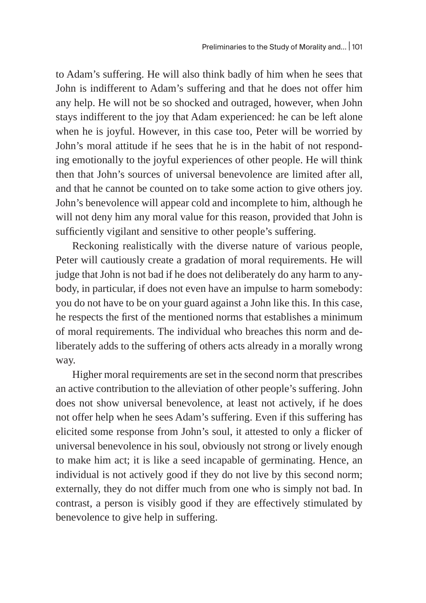to Adam's suffering. He will also think badly of him when he sees that John is indifferent to Adam's suffering and that he does not offer him any help. He will not be so shocked and outraged, however, when John stays indifferent to the joy that Adam experienced: he can be left alone when he is joyful. However, in this case too, Peter will be worried by John's moral attitude if he sees that he is in the habit of not responding emotionally to the joyful experiences of other people. He will think then that John's sources of universal benevolence are limited after all, and that he cannot be counted on to take some action to give others joy. John's benevolence will appear cold and incomplete to him, although he will not deny him any moral value for this reason, provided that John is sufficiently vigilant and sensitive to other people's suffering.

Reckoning realistically with the diverse nature of various people, Peter will cautiously create a gradation of moral requirements. He will judge that John is not bad if he does not deliberately do any harm to anybody, in particular, if does not even have an impulse to harm somebody: you do not have to be on your guard against a John like this. In this case, he respects the first of the mentioned norms that establishes a minimum of moral requirements. The individual who breaches this norm and deliberately adds to the suffering of others acts already in a morally wrong way.

Higher moral requirements are set in the second norm that prescribes an active contribution to the alleviation of other people's suffering. John does not show universal benevolence, at least not actively, if he does not offer help when he sees Adam's suffering. Even if this suffering has elicited some response from John's soul, it attested to only a flicker of universal benevolence in his soul, obviously not strong or lively enough to make him act; it is like a seed incapable of germinating. Hence, an individual is not actively good if they do not live by this second norm; externally, they do not differ much from one who is simply not bad. In contrast, a person is visibly good if they are effectively stimulated by benevolence to give help in suffering.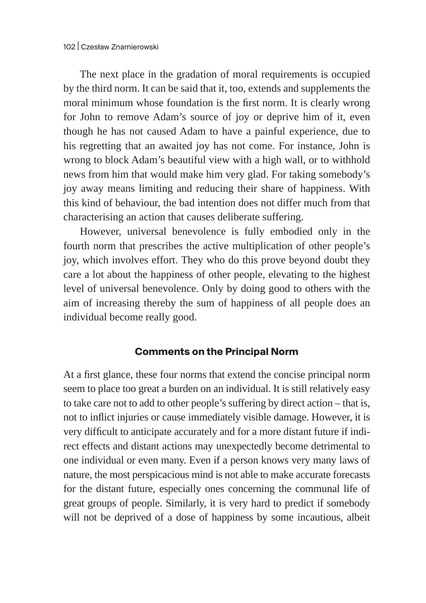The next place in the gradation of moral requirements is occupied by the third norm. It can be said that it, too, extends and supplements the moral minimum whose foundation is the first norm. It is clearly wrong for John to remove Adam's source of joy or deprive him of it, even though he has not caused Adam to have a painful experience, due to his regretting that an awaited joy has not come. For instance, John is wrong to block Adam's beautiful view with a high wall, or to withhold news from him that would make him very glad. For taking somebody's joy away means limiting and reducing their share of happiness. With this kind of behaviour, the bad intention does not differ much from that characterising an action that causes deliberate suffering.

However, universal benevolence is fully embodied only in the fourth norm that prescribes the active multiplication of other people's joy, which involves effort. They who do this prove beyond doubt they care a lot about the happiness of other people, elevating to the highest level of universal benevolence. Only by doing good to others with the aim of increasing thereby the sum of happiness of all people does an individual become really good.

### **Comments on the Principal Norm**

At a first glance, these four norms that extend the concise principal norm seem to place too great a burden on an individual. It is still relatively easy to take care not to add to other people's suffering by direct action – that is, not to inflict injuries or cause immediately visible damage. However, it is very difficult to anticipate accurately and for a more distant future if indirect effects and distant actions may unexpectedly become detrimental to one individual or even many. Even if a person knows very many laws of nature, the most perspicacious mind is not able to make accurate forecasts for the distant future, especially ones concerning the communal life of great groups of people. Similarly, it is very hard to predict if somebody will not be deprived of a dose of happiness by some incautious, albeit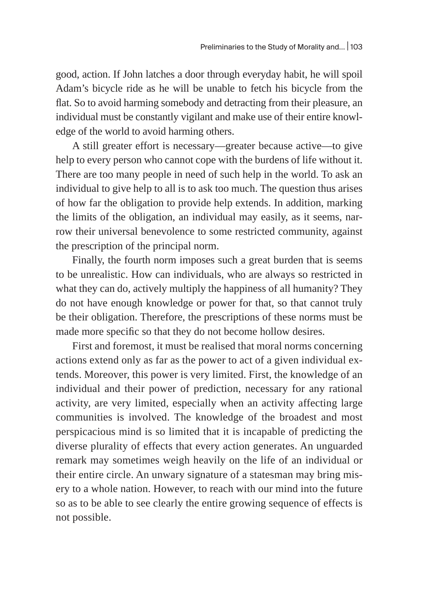good, action. If John latches a door through everyday habit, he will spoil Adam's bicycle ride as he will be unable to fetch his bicycle from the flat. So to avoid harming somebody and detracting from their pleasure, an individual must be constantly vigilant and make use of their entire knowledge of the world to avoid harming others.

A still greater effort is necessary—greater because active—to give help to every person who cannot cope with the burdens of life without it. There are too many people in need of such help in the world. To ask an individual to give help to all is to ask too much. The question thus arises of how far the obligation to provide help extends. In addition, marking the limits of the obligation, an individual may easily, as it seems, narrow their universal benevolence to some restricted community, against the prescription of the principal norm.

Finally, the fourth norm imposes such a great burden that is seems to be unrealistic. How can individuals, who are always so restricted in what they can do, actively multiply the happiness of all humanity? They do not have enough knowledge or power for that, so that cannot truly be their obligation. Therefore, the prescriptions of these norms must be made more specific so that they do not become hollow desires.

First and foremost, it must be realised that moral norms concerning actions extend only as far as the power to act of a given individual extends. Moreover, this power is very limited. First, the knowledge of an individual and their power of prediction, necessary for any rational activity, are very limited, especially when an activity affecting large communities is involved. The knowledge of the broadest and most perspicacious mind is so limited that it is incapable of predicting the diverse plurality of effects that every action generates. An unguarded remark may sometimes weigh heavily on the life of an individual or their entire circle. An unwary signature of a statesman may bring misery to a whole nation. However, to reach with our mind into the future so as to be able to see clearly the entire growing sequence of effects is not possible.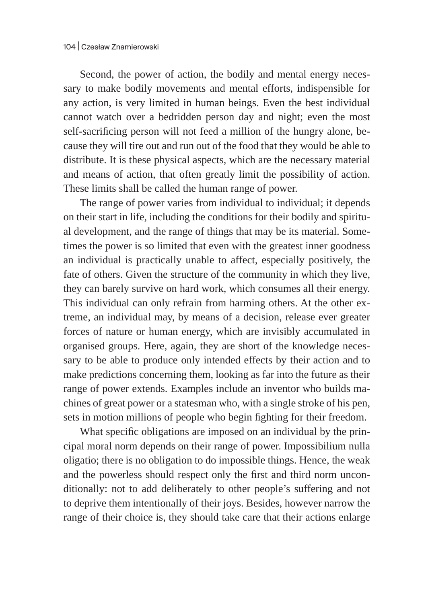Second, the power of action, the bodily and mental energy necessary to make bodily movements and mental efforts, indispensible for any action, is very limited in human beings. Even the best individual cannot watch over a bedridden person day and night; even the most self-sacrificing person will not feed a million of the hungry alone, because they will tire out and run out of the food that they would be able to distribute. It is these physical aspects, which are the necessary material and means of action, that often greatly limit the possibility of action. These limits shall be called the human range of power.

The range of power varies from individual to individual; it depends on their start in life, including the conditions for their bodily and spiritual development, and the range of things that may be its material. Sometimes the power is so limited that even with the greatest inner goodness an individual is practically unable to affect, especially positively, the fate of others. Given the structure of the community in which they live, they can barely survive on hard work, which consumes all their energy. This individual can only refrain from harming others. At the other extreme, an individual may, by means of a decision, release ever greater forces of nature or human energy, which are invisibly accumulated in organised groups. Here, again, they are short of the knowledge necessary to be able to produce only intended effects by their action and to make predictions concerning them, looking as far into the future as their range of power extends. Examples include an inventor who builds machines of great power or a statesman who, with a single stroke of his pen, sets in motion millions of people who begin fighting for their freedom.

What specific obligations are imposed on an individual by the principal moral norm depends on their range of power. Impossibilium nulla oligatio; there is no obligation to do impossible things. Hence, the weak and the powerless should respect only the first and third norm unconditionally: not to add deliberately to other people's suffering and not to deprive them intentionally of their joys. Besides, however narrow the range of their choice is, they should take care that their actions enlarge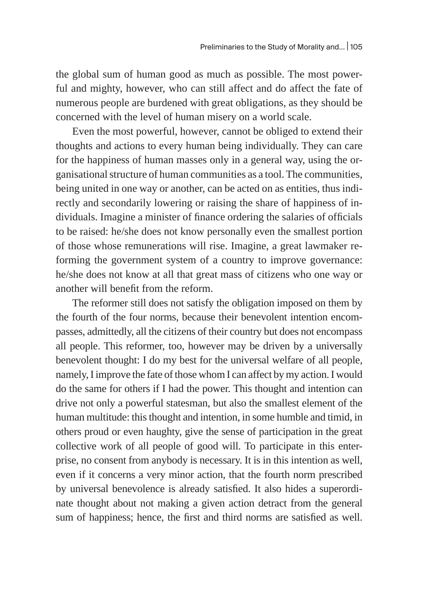the global sum of human good as much as possible. The most powerful and mighty, however, who can still affect and do affect the fate of numerous people are burdened with great obligations, as they should be concerned with the level of human misery on a world scale.

Even the most powerful, however, cannot be obliged to extend their thoughts and actions to every human being individually. They can care for the happiness of human masses only in a general way, using the organisational structure of human communities as a tool. The communities, being united in one way or another, can be acted on as entities, thus indirectly and secondarily lowering or raising the share of happiness of individuals. Imagine a minister of finance ordering the salaries of officials to be raised: he/she does not know personally even the smallest portion of those whose remunerations will rise. Imagine, a great lawmaker reforming the government system of a country to improve governance: he/she does not know at all that great mass of citizens who one way or another will benefit from the reform.

The reformer still does not satisfy the obligation imposed on them by the fourth of the four norms, because their benevolent intention encompasses, admittedly, all the citizens of their country but does not encompass all people. This reformer, too, however may be driven by a universally benevolent thought: I do my best for the universal welfare of all people, namely, I improve the fate of those whom I can affect by my action. I would do the same for others if I had the power. This thought and intention can drive not only a powerful statesman, but also the smallest element of the human multitude: this thought and intention, in some humble and timid, in others proud or even haughty, give the sense of participation in the great collective work of all people of good will. To participate in this enterprise, no consent from anybody is necessary. It is in this intention as well, even if it concerns a very minor action, that the fourth norm prescribed by universal benevolence is already satisfied. It also hides a superordinate thought about not making a given action detract from the general sum of happiness; hence, the first and third norms are satisfied as well.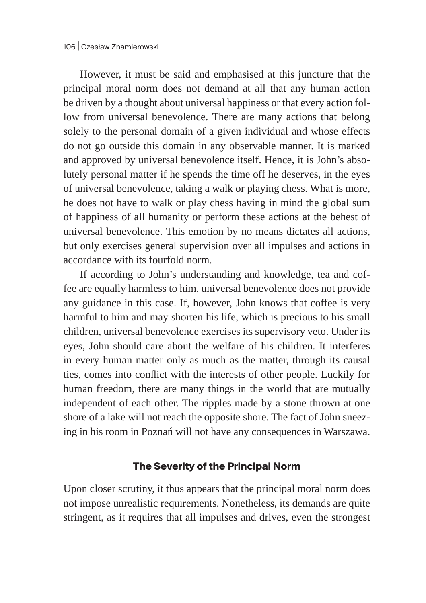However, it must be said and emphasised at this juncture that the principal moral norm does not demand at all that any human action be driven by a thought about universal happiness or that every action follow from universal benevolence. There are many actions that belong solely to the personal domain of a given individual and whose effects do not go outside this domain in any observable manner. It is marked and approved by universal benevolence itself. Hence, it is John's absolutely personal matter if he spends the time off he deserves, in the eyes of universal benevolence, taking a walk or playing chess. What is more, he does not have to walk or play chess having in mind the global sum of happiness of all humanity or perform these actions at the behest of universal benevolence. This emotion by no means dictates all actions, but only exercises general supervision over all impulses and actions in accordance with its fourfold norm.

If according to John's understanding and knowledge, tea and coffee are equally harmless to him, universal benevolence does not provide any guidance in this case. If, however, John knows that coffee is very harmful to him and may shorten his life, which is precious to his small children, universal benevolence exercises its supervisory veto. Under its eyes, John should care about the welfare of his children. It interferes in every human matter only as much as the matter, through its causal ties, comes into conflict with the interests of other people. Luckily for human freedom, there are many things in the world that are mutually independent of each other. The ripples made by a stone thrown at one shore of a lake will not reach the opposite shore. The fact of John sneezing in his room in Poznań will not have any consequences in Warszawa.

#### **The Severity of the Principal Norm**

Upon closer scrutiny, it thus appears that the principal moral norm does not impose unrealistic requirements. Nonetheless, its demands are quite stringent, as it requires that all impulses and drives, even the strongest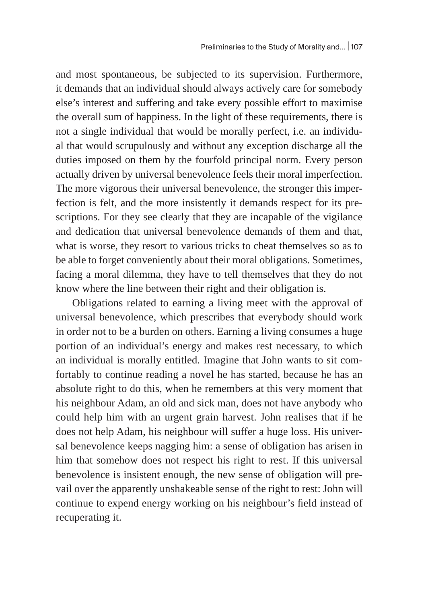and most spontaneous, be subjected to its supervision. Furthermore, it demands that an individual should always actively care for somebody else's interest and suffering and take every possible effort to maximise the overall sum of happiness. In the light of these requirements, there is not a single individual that would be morally perfect, i.e. an individual that would scrupulously and without any exception discharge all the duties imposed on them by the fourfold principal norm. Every person actually driven by universal benevolence feels their moral imperfection. The more vigorous their universal benevolence, the stronger this imperfection is felt, and the more insistently it demands respect for its prescriptions. For they see clearly that they are incapable of the vigilance and dedication that universal benevolence demands of them and that, what is worse, they resort to various tricks to cheat themselves so as to be able to forget conveniently about their moral obligations. Sometimes, facing a moral dilemma, they have to tell themselves that they do not know where the line between their right and their obligation is.

Obligations related to earning a living meet with the approval of universal benevolence, which prescribes that everybody should work in order not to be a burden on others. Earning a living consumes a huge portion of an individual's energy and makes rest necessary, to which an individual is morally entitled. Imagine that John wants to sit comfortably to continue reading a novel he has started, because he has an absolute right to do this, when he remembers at this very moment that his neighbour Adam, an old and sick man, does not have anybody who could help him with an urgent grain harvest. John realises that if he does not help Adam, his neighbour will suffer a huge loss. His universal benevolence keeps nagging him: a sense of obligation has arisen in him that somehow does not respect his right to rest. If this universal benevolence is insistent enough, the new sense of obligation will prevail over the apparently unshakeable sense of the right to rest: John will continue to expend energy working on his neighbour's field instead of recuperating it.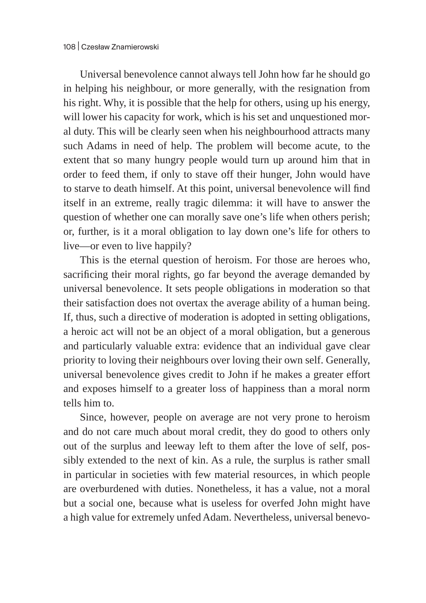Universal benevolence cannot always tell John how far he should go in helping his neighbour, or more generally, with the resignation from his right. Why, it is possible that the help for others, using up his energy, will lower his capacity for work, which is his set and unquestioned moral duty. This will be clearly seen when his neighbourhood attracts many such Adams in need of help. The problem will become acute, to the extent that so many hungry people would turn up around him that in order to feed them, if only to stave off their hunger, John would have to starve to death himself. At this point, universal benevolence will find itself in an extreme, really tragic dilemma: it will have to answer the question of whether one can morally save one's life when others perish; or, further, is it a moral obligation to lay down one's life for others to live—or even to live happily?

This is the eternal question of heroism. For those are heroes who, sacrificing their moral rights, go far beyond the average demanded by universal benevolence. It sets people obligations in moderation so that their satisfaction does not overtax the average ability of a human being. If, thus, such a directive of moderation is adopted in setting obligations, a heroic act will not be an object of a moral obligation, but a generous and particularly valuable extra: evidence that an individual gave clear priority to loving their neighbours over loving their own self. Generally, universal benevolence gives credit to John if he makes a greater effort and exposes himself to a greater loss of happiness than a moral norm tells him to.

Since, however, people on average are not very prone to heroism and do not care much about moral credit, they do good to others only out of the surplus and leeway left to them after the love of self, possibly extended to the next of kin. As a rule, the surplus is rather small in particular in societies with few material resources, in which people are overburdened with duties. Nonetheless, it has a value, not a moral but a social one, because what is useless for overfed John might have a high value for extremely unfed Adam. Nevertheless, universal benevo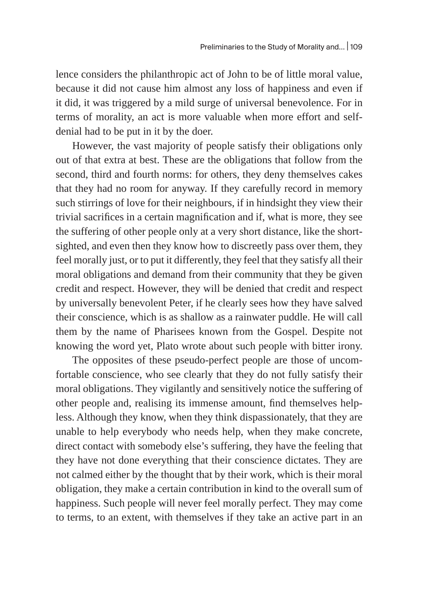lence considers the philanthropic act of John to be of little moral value, because it did not cause him almost any loss of happiness and even if it did, it was triggered by a mild surge of universal benevolence. For in terms of morality, an act is more valuable when more effort and selfdenial had to be put in it by the doer.

However, the vast majority of people satisfy their obligations only out of that extra at best. These are the obligations that follow from the second, third and fourth norms: for others, they deny themselves cakes that they had no room for anyway. If they carefully record in memory such stirrings of love for their neighbours, if in hindsight they view their trivial sacrifices in a certain magnification and if, what is more, they see the suffering of other people only at a very short distance, like the shortsighted, and even then they know how to discreetly pass over them, they feel morally just, or to put it differently, they feel that they satisfy all their moral obligations and demand from their community that they be given credit and respect. However, they will be denied that credit and respect by universally benevolent Peter, if he clearly sees how they have salved their conscience, which is as shallow as a rainwater puddle. He will call them by the name of Pharisees known from the Gospel. Despite not knowing the word yet, Plato wrote about such people with bitter irony.

The opposites of these pseudo-perfect people are those of uncomfortable conscience, who see clearly that they do not fully satisfy their moral obligations. They vigilantly and sensitively notice the suffering of other people and, realising its immense amount, find themselves helpless. Although they know, when they think dispassionately, that they are unable to help everybody who needs help, when they make concrete, direct contact with somebody else's suffering, they have the feeling that they have not done everything that their conscience dictates. They are not calmed either by the thought that by their work, which is their moral obligation, they make a certain contribution in kind to the overall sum of happiness. Such people will never feel morally perfect. They may come to terms, to an extent, with themselves if they take an active part in an